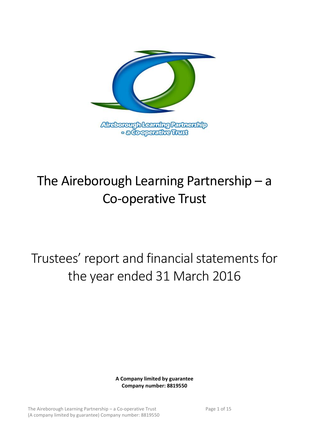

# The Aireborough Learning Partnership – a Co-operative Trust

# Trustees' report and financial statements for the year ended 31 March 2016

**A Company limited by guarantee Company number: 8819550**

The Aireborough Learning Partnership – a Co-operative Trust Page 1 of 15 (A company limited by guarantee) Company number: 8819550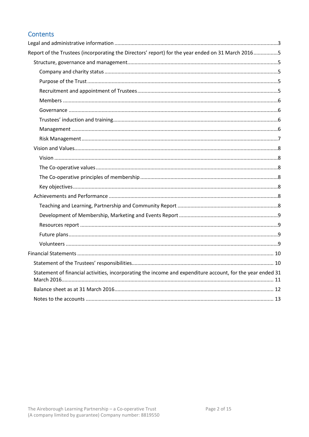# Contents

| Report of the Trustees (incorporating the Directors' report) for the year ended on 31 March 20165          |  |
|------------------------------------------------------------------------------------------------------------|--|
|                                                                                                            |  |
|                                                                                                            |  |
|                                                                                                            |  |
|                                                                                                            |  |
|                                                                                                            |  |
|                                                                                                            |  |
|                                                                                                            |  |
|                                                                                                            |  |
|                                                                                                            |  |
|                                                                                                            |  |
|                                                                                                            |  |
|                                                                                                            |  |
|                                                                                                            |  |
|                                                                                                            |  |
|                                                                                                            |  |
|                                                                                                            |  |
|                                                                                                            |  |
|                                                                                                            |  |
|                                                                                                            |  |
|                                                                                                            |  |
|                                                                                                            |  |
|                                                                                                            |  |
| Statement of financial activities, incorporating the income and expenditure account, for the year ended 31 |  |
|                                                                                                            |  |
|                                                                                                            |  |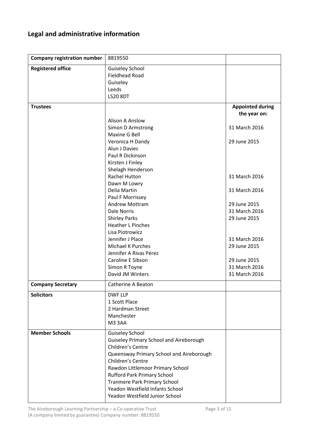# <span id="page-2-0"></span>**Legal and administrative information**

| <b>Company registration number</b> | 8819550                                                                                                                                                                                                                                                                                                                                              |                         |
|------------------------------------|------------------------------------------------------------------------------------------------------------------------------------------------------------------------------------------------------------------------------------------------------------------------------------------------------------------------------------------------------|-------------------------|
| <b>Registered office</b>           | <b>Guiseley School</b><br><b>Fieldhead Road</b><br>Guiseley<br>Leeds<br><b>LS20 8DT</b>                                                                                                                                                                                                                                                              |                         |
| <b>Trustees</b>                    |                                                                                                                                                                                                                                                                                                                                                      | <b>Appointed during</b> |
|                                    |                                                                                                                                                                                                                                                                                                                                                      | the year on:            |
|                                    | <b>Alison A Anslow</b><br><b>Simon D Armstrong</b><br>Maxine G Bell                                                                                                                                                                                                                                                                                  | 31 March 2016           |
|                                    | Veronica H Dandy<br>Alun J Davies<br>Paul R Dickinson<br>Kirsten J Finley<br>Shelagh Henderson                                                                                                                                                                                                                                                       | 29 June 2015            |
|                                    | <b>Rachel Hutton</b><br>Dawn M Lowry                                                                                                                                                                                                                                                                                                                 | 31 March 2016           |
|                                    | Delia Martin<br>Paul F Morrissey                                                                                                                                                                                                                                                                                                                     | 31 March 2016           |
|                                    | <b>Andrew Mottram</b>                                                                                                                                                                                                                                                                                                                                | 29 June 2015            |
|                                    | <b>Dale Norris</b>                                                                                                                                                                                                                                                                                                                                   | 31 March 2016           |
|                                    | <b>Shirley Parks</b><br><b>Heather L Pinches</b><br>Lisa Piotrowicz                                                                                                                                                                                                                                                                                  | 29 June 2015            |
|                                    | Jennifer J Place                                                                                                                                                                                                                                                                                                                                     | 31 March 2016           |
|                                    | <b>Michael K Purches</b>                                                                                                                                                                                                                                                                                                                             | 29 June 2015            |
|                                    | Jennifer A Rivas Pérez                                                                                                                                                                                                                                                                                                                               |                         |
|                                    | Caroline E Sibson                                                                                                                                                                                                                                                                                                                                    | 29 June 2015            |
|                                    | Simon R Toyne                                                                                                                                                                                                                                                                                                                                        | 31 March 2016           |
|                                    | David JM Winters                                                                                                                                                                                                                                                                                                                                     | 31 March 2016           |
| <b>Company Secretary</b>           | Catherine A Beaton                                                                                                                                                                                                                                                                                                                                   |                         |
| <b>Solicitors</b>                  | <b>DWF LLP</b><br>1 Scott Place<br>2 Hardman Street<br>Manchester<br>M33AA                                                                                                                                                                                                                                                                           |                         |
| <b>Member Schools</b>              | <b>Guiseley School</b><br><b>Guiseley Primary School and Aireborough</b><br>Children's Centre<br>Queensway Primary School and Aireborough<br>Children's Centre<br>Rawdon Littlemoor Primary School<br><b>Rufford Park Primary School</b><br><b>Tranmere Park Primary School</b><br>Yeadon Westfield Infants School<br>Yeadon Westfield Junior School |                         |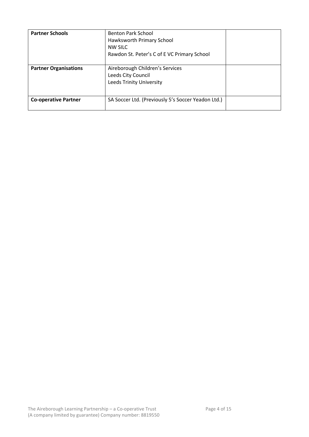| <b>Partner Schools</b>       | <b>Benton Park School</b><br>Hawksworth Primary School<br>NW SILC<br>Rawdon St. Peter's C of E VC Primary School |  |
|------------------------------|------------------------------------------------------------------------------------------------------------------|--|
| <b>Partner Organisations</b> | Aireborough Children's Services<br>Leeds City Council<br><b>Leeds Trinity University</b>                         |  |
| <b>Co-operative Partner</b>  | SA Soccer Ltd. (Previously 5's Soccer Yeadon Ltd.)                                                               |  |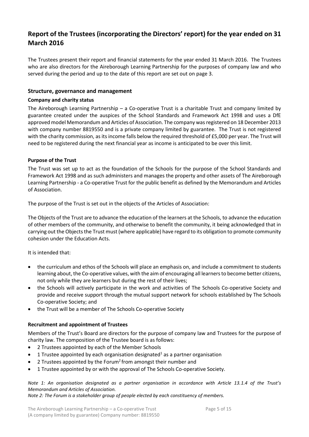# <span id="page-4-0"></span>**Report of the Trustees (incorporating the Directors' report) for the year ended on 31 March 2016**

The Trustees present their report and financial statements for the year ended 31 March 2016. The Trustees who are also directors for the Aireborough Learning Partnership for the purposes of company law and who served during the period and up to the date of this report are set out on page 3.

# <span id="page-4-1"></span>**Structure, governance and management**

# <span id="page-4-2"></span>**Company and charity status**

The Aireborough Learning Partnership – a Co-operative Trust is a charitable Trust and company limited by guarantee created under the auspices of the School Standards and Framework Act 1998 and uses a DfE approved model Memorandum and Articles of Association. The company was registered on 18 December 2013 with company number 8819550 and is a private company limited by guarantee. The Trust is not registered with the charity commission, as its income falls below the required threshold of £5,000 per year. The Trust will need to be registered during the next financial year as income is anticipated to be over this limit.

# <span id="page-4-3"></span>**Purpose of the Trust**

The Trust was set up to act as the foundation of the Schools for the purpose of the School Standards and Framework Act 1998 and as such administers and manages the property and other assets of The Aireborough Learning Partnership - a Co-operative Trust for the public benefit as defined by the Memorandum and Articles of Association.

The purpose of the Trust is set out in the objects of the Articles of Association:

The Objects of the Trust are to advance the education of the learners at the Schools, to advance the education of other members of the community, and otherwise to benefit the community, it being acknowledged that in carrying out the Objects the Trust must (where applicable) have regard to its obligation to promote community cohesion under the Education Acts.

It is intended that:

- the curriculum and ethos of the Schools will place an emphasis on, and include a commitment to students learning about, the Co-operative values, with the aim of encouraging all learners to become better citizens, not only while they are learners but during the rest of their lives;
- the Schools will actively participate in the work and activities of The Schools Co-operative Society and provide and receive support through the mutual support network for schools established by The Schools Co-operative Society; and
- the Trust will be a member of The Schools Co-operative Society

# <span id="page-4-4"></span>**Recruitment and appointment of Trustees**

Members of the Trust's Board are directors for the purpose of company law and Trustees for the purpose of charity law. The composition of the Trustee board is as follows:

- 2 Trustees appointed by each of the Member Schools
- 1 Trustee appointed by each organisation designated<sup>1</sup> as a partner organisation
- 2 Trustees appointed by the Forum<sup>2</sup> from amongst their number and
- 1 Trustee appointed by or with the approval of The Schools Co-operative Society.

# *Note 1: An organisation designated as a partner organisation in accordance with Article 13.1.4 of the Trust's Memorandum and Articles of Association.*

*Note 2: The Forum is a stakeholder group of people elected by each constituency of members.*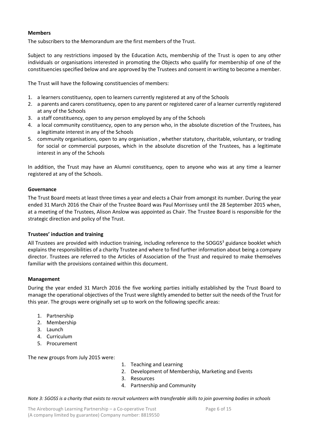# <span id="page-5-0"></span>**Members**

The subscribers to the Memorandum are the first members of the Trust.

Subject to any restrictions imposed by the Education Acts, membership of the Trust is open to any other individuals or organisations interested in promoting the Objects who qualify for membership of one of the constituencies specified below and are approved by the Trustees and consent in writing to become a member.

The Trust will have the following constituencies of members:

- 1. a learners constituency, open to learners currently registered at any of the Schools
- 2. a parents and carers constituency, open to any parent or registered carer of a learner currently registered at any of the Schools
- 3. a staff constituency, open to any person employed by any of the Schools
- 4. a local community constituency, open to any person who, in the absolute discretion of the Trustees, has a legitimate interest in any of the Schools
- 5. community organisations, open to any organisation , whether statutory, charitable, voluntary, or trading for social or commercial purposes, which in the absolute discretion of the Trustees, has a legitimate interest in any of the Schools

In addition, the Trust may have an Alumni constituency, open to anyone who was at any time a learner registered at any of the Schools.

# <span id="page-5-1"></span>**Governance**

The Trust Board meets at least three times a year and elects a Chair from amongst its number. During the year ended 31 March 2016 the Chair of the Trustee Board was Paul Morrissey until the 28 September 2015 when, at a meeting of the Trustees, Alison Anslow was appointed as Chair. The Trustee Board is responsible for the strategic direction and policy of the Trust.

#### <span id="page-5-2"></span>**Trustees' induction and training**

All Trustees are provided with induction training, including reference to the SOGGS<sup>3</sup> guidance booklet which explains the responsibilities of a charity Trustee and where to find further information about being a company director. Trustees are referred to the Articles of Association of the Trust and required to make themselves familiar with the provisions contained within this document.

#### <span id="page-5-3"></span>**Management**

During the year ended 31 March 2016 the five working parties initially established by the Trust Board to manage the operational objectives of the Trust were slightly amended to better suit the needs of the Trust for this year. The groups were originally set up to work on the following specific areas:

- 1. Partnership
- 2. Membership
- 3. Launch
- 4. Curriculum
- 5. Procurement

The new groups from July 2015 were:

- 1. Teaching and Learning
- 2. Development of Membership, Marketing and Events
- 3. Resources
- 4. Partnership and Community

*Note 3: SGOSS is a charity that exists to recruit volunteers with transferable skills to join governing bodies in schools*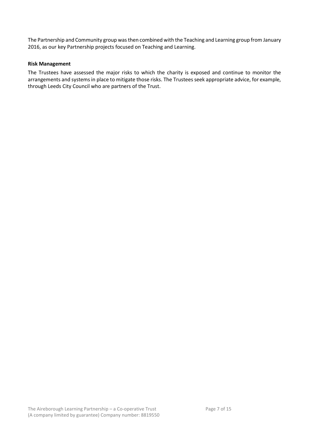The Partnership and Community group was then combined with the Teaching and Learning group from January 2016, as our key Partnership projects focused on Teaching and Learning.

# <span id="page-6-0"></span>**Risk Management**

The Trustees have assessed the major risks to which the charity is exposed and continue to monitor the arrangements and systems in place to mitigate those risks. The Trustees seek appropriate advice, for example, through Leeds City Council who are partners of the Trust.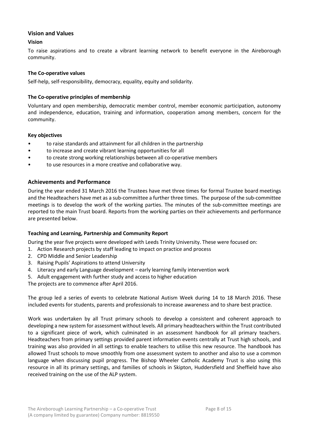# <span id="page-7-0"></span>**Vision and Values**

# <span id="page-7-1"></span>**Vision**

To raise aspirations and to create a vibrant learning network to benefit everyone in the Aireborough community.

# <span id="page-7-2"></span>**The Co-operative values**

Self-help, self-responsibility, democracy, equality, equity and solidarity.

# <span id="page-7-3"></span>**The Co-operative principles of membership**

Voluntary and open membership, democratic member control, member economic participation, autonomy and independence, education, training and information, cooperation among members, concern for the community.

# <span id="page-7-4"></span>**Key objectives**

- to raise standards and attainment for all children in the partnership
- to increase and create vibrant learning opportunities for all
- to create strong working relationships between all co-operative members
- to use resources in a more creative and collaborative way.

# <span id="page-7-5"></span>**Achievements and Performance**

During the year ended 31 March 2016 the Trustees have met three times for formal Trustee board meetings and the Headteachers have met as a sub-committee a further three times. The purpose of the sub-committee meetings is to develop the work of the working parties. The minutes of the sub-committee meetings are reported to the main Trust board. Reports from the working parties on their achievements and performance are presented below.

#### <span id="page-7-6"></span>**Teaching and Learning, Partnership and Community Report**

During the year five projects were developed with Leeds Trinity University. These were focused on:

- 1. Action Research projects by staff leading to impact on practice and process
- 2. CPD Middle and Senior Leadership
- 3. Raising Pupils' Aspirations to attend University
- 4. Literacy and early Language development early learning family intervention work
- 5. Adult engagement with further study and access to higher education

The projects are to commence after April 2016.

The group led a series of events to celebrate National Autism Week during 14 to 18 March 2016. These included events for students, parents and professionals to increase awareness and to share best practice.

Work was undertaken by all Trust primary schools to develop a consistent and coherent approach to developing a new system for assessment without levels. All primary headteachers within the Trust contributed to a significant piece of work, which culminated in an assessment handbook for all primary teachers. Headteachers from primary settings provided parent information events centrally at Trust high schools, and training was also provided in all settings to enable teachers to utilise this new resource. The handbook has allowed Trust schools to move smoothly from one assessment system to another and also to use a common language when discussing pupil progress. The Bishop Wheeler Catholic Academy Trust is also using this resource in all its primary settings, and families of schools in Skipton, Huddersfield and Sheffield have also received training on the use of the ALP system.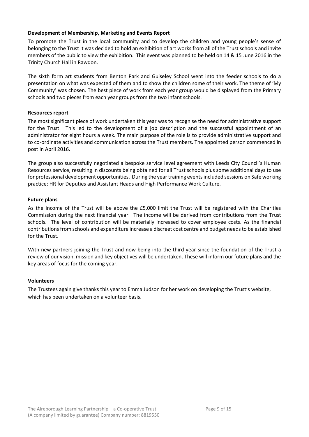# <span id="page-8-0"></span>**Development of Membership, Marketing and Events Report**

To promote the Trust in the local community and to develop the children and young people's sense of belonging to the Trust it was decided to hold an exhibition of art works from all of the Trust schools and invite members of the public to view the exhibition. This event was planned to be held on 14 & 15 June 2016 in the Trinity Church Hall in Rawdon.

The sixth form art students from Benton Park and Guiseley School went into the feeder schools to do a presentation on what was expected of them and to show the children some of their work. The theme of 'My Community' was chosen. The best piece of work from each year group would be displayed from the Primary schools and two pieces from each year groups from the two infant schools.

#### <span id="page-8-1"></span>**Resources report**

The most significant piece of work undertaken this year was to recognise the need for administrative support for the Trust. This led to the development of a job description and the successful appointment of an administrator for eight hours a week. The main purpose of the role is to provide administrative support and to co-ordinate activities and communication across the Trust members. The appointed person commenced in post in April 2016.

The group also successfully negotiated a bespoke service level agreement with Leeds City Council's Human Resources service, resulting in discounts being obtained for all Trust schools plus some additional days to use for professional development opportunities. During the year training events included sessions on Safe working practice; HR for Deputies and Assistant Heads and High Performance Work Culture.

#### <span id="page-8-2"></span>**Future plans**

As the income of the Trust will be above the £5,000 limit the Trust will be registered with the Charities Commission during the next financial year. The income will be derived from contributions from the Trust schools. The level of contribution will be materially increased to cover employee costs. As the financial contributions from schools and expenditure increase a discreet cost centre and budget needs to be established for the Trust.

With new partners joining the Trust and now being into the third year since the foundation of the Trust a review of our vision, mission and key objectives will be undertaken. These will inform our future plans and the key areas of focus for the coming year.

#### <span id="page-8-3"></span>**Volunteers**

The Trustees again give thanks this year to Emma Judson for her work on developing the Trust's website, which has been undertaken on a volunteer basis.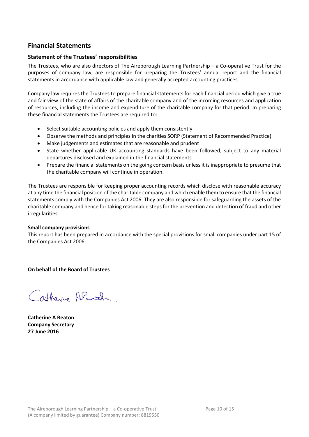# <span id="page-9-0"></span>**Financial Statements**

# <span id="page-9-1"></span>**Statement of the Trustees' responsibilities**

The Trustees, who are also directors of The Aireborough Learning Partnership – a Co-operative Trust for the purposes of company law, are responsible for preparing the Trustees' annual report and the financial statements in accordance with applicable law and generally accepted accounting practices.

Company law requires the Trustees to prepare financial statements for each financial period which give a true and fair view of the state of affairs of the charitable company and of the incoming resources and application of resources, including the income and expenditure of the charitable company for that period. In preparing these financial statements the Trustees are required to:

- Select suitable accounting policies and apply them consistently
- Observe the methods and principles in the charities SORP (Statement of Recommended Practice)
- Make judgements and estimates that are reasonable and prudent
- State whether applicable UK accounting standards have been followed, subject to any material departures disclosed and explained in the financial statements
- Prepare the financial statements on the going concern basis unless it is inappropriate to presume that the charitable company will continue in operation.

The Trustees are responsible for keeping proper accounting records which disclose with reasonable accuracy at any time the financial position of the charitable company and which enable them to ensure that the financial statements comply with the Companies Act 2006. They are also responsible for safeguarding the assets of the charitable company and hence for taking reasonable steps for the prevention and detection of fraud and other irregularities.

# **Small company provisions**

This report has been prepared in accordance with the special provisions for small companies under part 15 of the Companies Act 2006.

**On behalf of the Board of Trustees**

Catherine ABcton

**Catherine A Beaton Company Secretary 27 June 2016**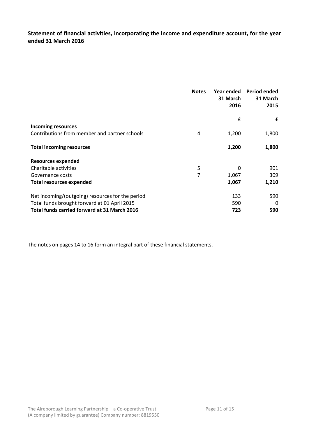<span id="page-10-0"></span>**Statement of financial activities, incorporating the income and expenditure account, for the year ended 31 March 2016**

|                                                  | <b>Notes</b> | Year ended<br>31 March<br>2016 | Period ended<br>31 March<br>2015 |
|--------------------------------------------------|--------------|--------------------------------|----------------------------------|
|                                                  |              | £                              | £                                |
| <b>Incoming resources</b>                        |              |                                |                                  |
| Contributions from member and partner schools    | 4            | 1,200                          | 1,800                            |
| <b>Total incoming resources</b>                  |              | 1,200                          | 1,800                            |
| <b>Resources expended</b>                        |              |                                |                                  |
| Charitable activities                            | 5            | 0                              | 901                              |
| Governance costs                                 | 7            | 1,067                          | 309                              |
| <b>Total resources expended</b>                  |              | 1,067                          | 1,210                            |
| Net incoming/(outgoing) resources for the period |              | 133                            | 590                              |
| Total funds brought forward at 01 April 2015     |              | 590                            | 0                                |
| Total funds carried forward at 31 March 2016     |              | 723                            | 590                              |

The notes on pages 14 to 16 form an integral part of these financial statements.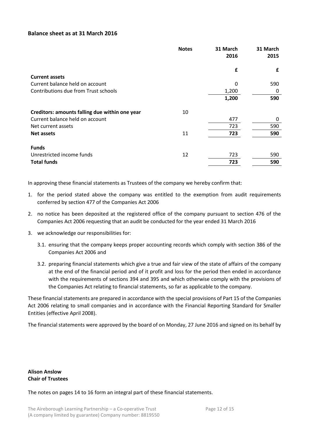# <span id="page-11-0"></span>**Balance sheet as at 31 March 2016**

|                                                | <b>Notes</b> | 31 March<br>2016 | 31 March<br>2015 |
|------------------------------------------------|--------------|------------------|------------------|
|                                                |              | £                | £                |
| <b>Current assets</b>                          |              |                  |                  |
| Current balance held on account                |              | 0                | 590              |
| Contributions due from Trust schools           |              | 1,200            | 0                |
|                                                |              | 1,200            | 590              |
| Creditors: amounts falling due within one year | 10           |                  |                  |
| Current balance held on account                |              | 477              | 0                |
| Net current assets                             |              | 723              | 590              |
| <b>Net assets</b>                              | 11           | 723              | 590              |
| <b>Funds</b>                                   |              |                  |                  |
| Unrestricted income funds                      | 12           | 723              | 590              |
| <b>Total funds</b>                             |              | 723              | 590              |

In approving these financial statements as Trustees of the company we hereby confirm that:

- 1. for the period stated above the company was entitled to the exemption from audit requirements conferred by section 477 of the Companies Act 2006
- 2. no notice has been deposited at the registered office of the company pursuant to section 476 of the Companies Act 2006 requesting that an audit be conducted for the year ended 31 March 2016
- 3. we acknowledge our responsibilities for:
	- 3.1. ensuring that the company keeps proper accounting records which comply with section 386 of the Companies Act 2006 and
	- 3.2. preparing financial statements which give a true and fair view of the state of affairs of the company at the end of the financial period and of it profit and loss for the period then ended in accordance with the requirements of sections 394 and 395 and which otherwise comply with the provisions of the Companies Act relating to financial statements, so far as applicable to the company.

These financial statements are prepared in accordance with the special provisions of Part 15 of the Companies Act 2006 relating to small companies and in accordance with the Financial Reporting Standard for Smaller Entities (effective April 2008).

The financial statements were approved by the board of on Monday, 27 June 2016 and signed on its behalf by

# **Alison Anslow Chair of Trustees**

The notes on pages 14 to 16 form an integral part of these financial statements.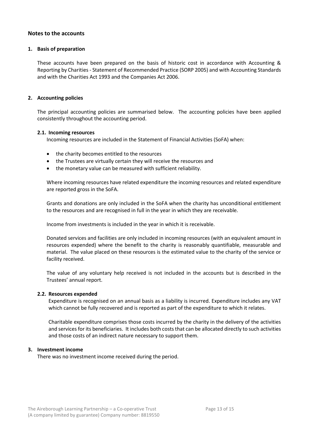### <span id="page-12-0"></span>**Notes to the accounts**

#### **1. Basis of preparation**

These accounts have been prepared on the basis of historic cost in accordance with Accounting & Reporting by Charities - Statement of Recommended Practice (SORP 2005) and with Accounting Standards and with the Charities Act 1993 and the Companies Act 2006.

#### **2. Accounting policies**

The principal accounting policies are summarised below. The accounting policies have been applied consistently throughout the accounting period.

#### **2.1. Incoming resources**

Incoming resources are included in the Statement of Financial Activities (SoFA) when:

- the charity becomes entitled to the resources
- the Trustees are virtually certain they will receive the resources and
- the monetary value can be measured with sufficient reliability.

Where incoming resources have related expenditure the incoming resources and related expenditure are reported gross in the SoFA.

Grants and donations are only included in the SoFA when the charity has unconditional entitlement to the resources and are recognised in full in the year in which they are receivable.

Income from investments is included in the year in which it is receivable.

Donated services and facilities are only included in incoming resources (with an equivalent amount in resources expended) where the benefit to the charity is reasonably quantifiable, measurable and material. The value placed on these resources is the estimated value to the charity of the service or facility received.

The value of any voluntary help received is not included in the accounts but is described in the Trustees' annual report.

#### **2.2. Resources expended**

Expenditure is recognised on an annual basis as a liability is incurred. Expenditure includes any VAT which cannot be fully recovered and is reported as part of the expenditure to which it relates.

Charitable expenditure comprises those costs incurred by the charity in the delivery of the activities and services for its beneficiaries. It includes both costs that can be allocated directly to such activities and those costs of an indirect nature necessary to support them.

#### **3. Investment income**

There was no investment income received during the period.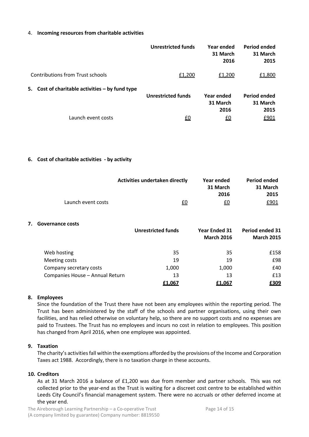#### 4. **Incoming resources from charitable activities**

|                                                   | <b>Unrestricted funds</b> | Year ended<br>31 March<br>2016 | Period ended<br>31 March<br>2015        |
|---------------------------------------------------|---------------------------|--------------------------------|-----------------------------------------|
| <b>Contributions from Trust schools</b>           | £1,200                    | £1,200                         | £1,800                                  |
| 5. Cost of charitable activities $-$ by fund type | <b>Unrestricted funds</b> | Year ended<br>31 March<br>2016 | <b>Period ended</b><br>31 March<br>2015 |
| Launch event costs                                | <u>£0</u>                 | <u>£0</u>                      | £901                                    |

#### **6. Cost of charitable activities - by activity**

|                    | <b>Activities undertaken directly</b> | Year ended<br>31 March | Period ended<br>31 March |
|--------------------|---------------------------------------|------------------------|--------------------------|
|                    |                                       | 2016                   | 2015                     |
| Launch event costs | £0                                    | £0                     | £901                     |

#### **7. Governance costs**

|                                 | <b>Unrestricted funds</b> | <b>Year Ended 31</b><br><b>March 2016</b> | Period ended 31<br><b>March 2015</b> |
|---------------------------------|---------------------------|-------------------------------------------|--------------------------------------|
| Web hosting                     | 35                        | 35                                        | £158                                 |
| Meeting costs                   | 19                        | 19                                        | £98                                  |
| Company secretary costs         | 1,000                     | 1,000                                     | £40                                  |
| Companies House - Annual Return | 13                        | 13                                        | £13                                  |
|                                 | £1,067                    | £1,067                                    | £309                                 |

#### **8. Employees**

Since the foundation of the Trust there have not been any employees within the reporting period. The Trust has been administered by the staff of the schools and partner organisations, using their own facilities, and has relied otherwise on voluntary help, so there are no support costs and no expenses are paid to Trustees. The Trust has no employees and incurs no cost in relation to employees. This position has changed from April 2016, when one employee was appointed.

#### **9. Taxation**

The charity's activities fall within the exemptions afforded by the provisions of the Income and Corporation Taxes act 1988. Accordingly, there is no taxation charge in these accounts.

#### **10. Creditors**

As at 31 March 2016 a balance of £1,200 was due from member and partner schools. This was not collected prior to the year-end as the Trust is waiting for a discreet cost centre to be established within Leeds City Council's financial management system. There were no accruals or other deferred income at the year end.